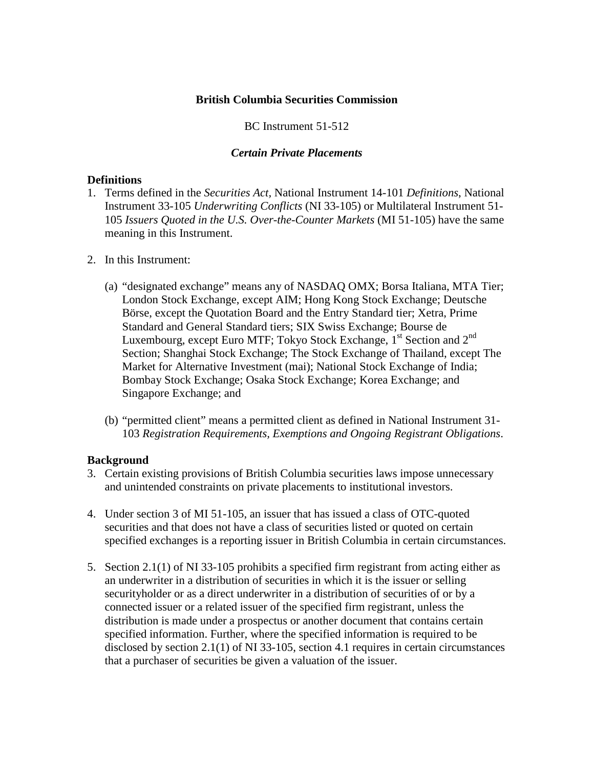### **British Columbia Securities Commission**

## BC Instrument 51-512

# *Certain Private Placements*

### **Definitions**

- 1. Terms defined in the *Securities Act,* National Instrument 14-101 *Definitions*, National Instrument 33-105 *Underwriting Conflicts* (NI 33-105) or Multilateral Instrument 51- 105 *Issuers Quoted in the U.S. Over-the-Counter Markets* (MI 51-105) have the same meaning in this Instrument.
- 2. In this Instrument:
	- (a) "designated exchange" means any of NASDAQ OMX; Borsa Italiana, MTA Tier; London Stock Exchange, except AIM; Hong Kong Stock Exchange; Deutsche Börse, except the Quotation Board and the Entry Standard tier; Xetra, Prime Standard and General Standard tiers; SIX Swiss Exchange; Bourse de Luxembourg, except Euro MTF; Tokyo Stock Exchange, 1<sup>st</sup> Section and 2<sup>nd</sup> Section; Shanghai Stock Exchange; The Stock Exchange of Thailand, except The Market for Alternative Investment (mai); National Stock Exchange of India; Bombay Stock Exchange; Osaka Stock Exchange; Korea Exchange; and Singapore Exchange; and
	- (b) "permitted client" means a permitted client as defined in National Instrument 31- 103 *Registration Requirements, Exemptions and Ongoing Registrant Obligations*.

## **Background**

- 3. Certain existing provisions of British Columbia securities laws impose unnecessary and unintended constraints on private placements to institutional investors.
- 4. Under section 3 of MI 51-105, an issuer that has issued a class of OTC-quoted securities and that does not have a class of securities listed or quoted on certain specified exchanges is a reporting issuer in British Columbia in certain circumstances.
- 5. Section 2.1(1) of NI 33-105 prohibits a specified firm registrant from acting either as an underwriter in a distribution of securities in which it is the issuer or selling securityholder or as a direct underwriter in a distribution of securities of or by a connected issuer or a related issuer of the specified firm registrant, unless the distribution is made under a prospectus or another document that contains certain specified information. Further, where the specified information is required to be disclosed by section 2.1(1) of NI 33-105, section 4.1 requires in certain circumstances that a purchaser of securities be given a valuation of the issuer.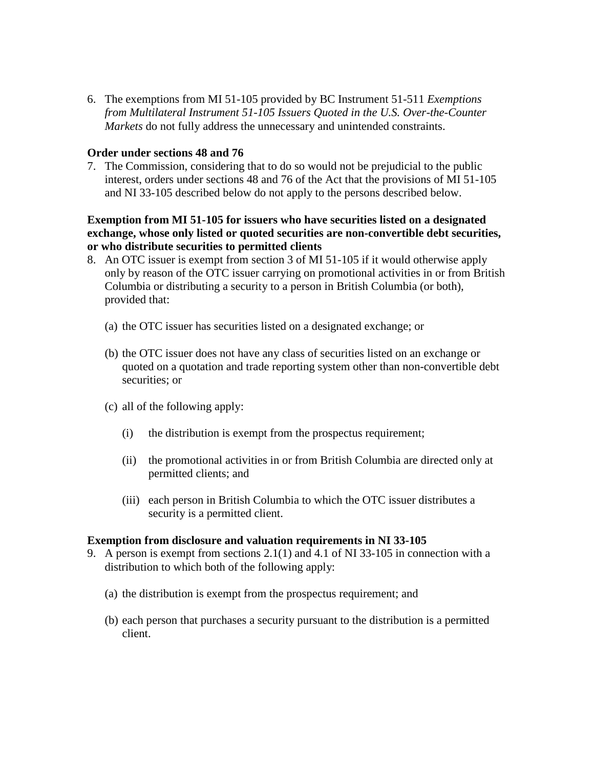6. The exemptions from MI 51-105 provided by BC Instrument 51-511 *Exemptions from Multilateral Instrument 51-105 Issuers Quoted in the U.S. Over-the-Counter Markets* do not fully address the unnecessary and unintended constraints.

### **Order under sections 48 and 76**

7. The Commission, considering that to do so would not be prejudicial to the public interest, orders under sections 48 and 76 of the Act that the provisions of MI 51-105 and NI 33-105 described below do not apply to the persons described below.

**Exemption from MI 51-105 for issuers who have securities listed on a designated exchange, whose only listed or quoted securities are non-convertible debt securities, or who distribute securities to permitted clients**

- 8. An OTC issuer is exempt from section 3 of MI 51-105 if it would otherwise apply only by reason of the OTC issuer carrying on promotional activities in or from British Columbia or distributing a security to a person in British Columbia (or both), provided that:
	- (a) the OTC issuer has securities listed on a designated exchange; or
	- (b) the OTC issuer does not have any class of securities listed on an exchange or quoted on a quotation and trade reporting system other than non-convertible debt securities; or
	- (c) all of the following apply:
		- (i) the distribution is exempt from the prospectus requirement;
		- (ii) the promotional activities in or from British Columbia are directed only at permitted clients; and
		- (iii) each person in British Columbia to which the OTC issuer distributes a security is a permitted client.

#### **Exemption from disclosure and valuation requirements in NI 33-105**

- 9. A person is exempt from sections 2.1(1) and 4.1 of NI 33-105 in connection with a distribution to which both of the following apply:
	- (a) the distribution is exempt from the prospectus requirement; and
	- (b) each person that purchases a security pursuant to the distribution is a permitted client.